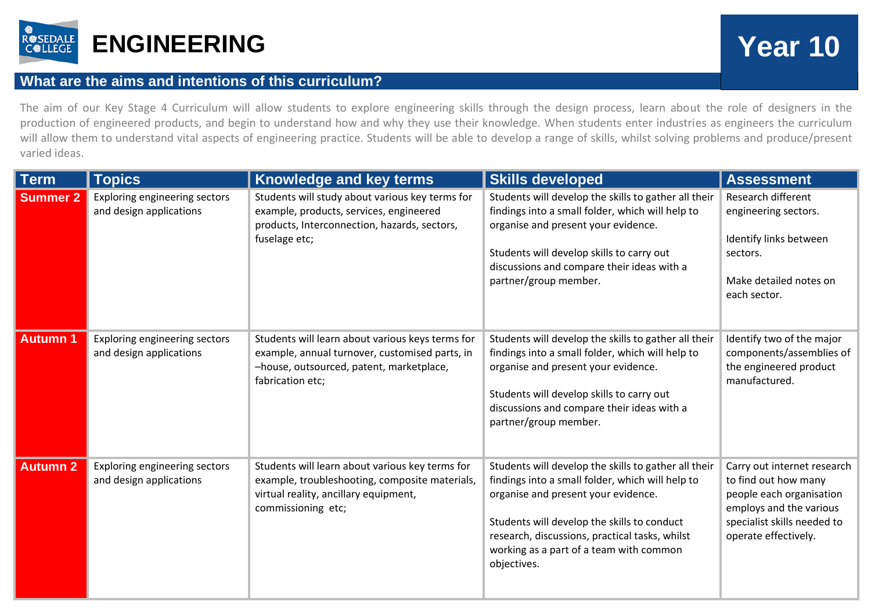

## **What are the aims and intentions of this curriculum?**

The aim of our Key Stage 4 Curriculum will allow students to explore engineering skills through the design process, learn about the role of designers in the production of engineered products, and begin to understand how and why they use their knowledge. When students enter industries as engineers the curriculum will allow them to understand vital aspects of engineering practice. Students will be able to develop a range of skills, whilst solving problems and produce/present varied ideas.

| <b>Term</b>     | <b>Topics</b>                                            | Knowledge and key terms                                                                                                                                            | <b>Skills developed</b>                                                                                                                                                                                                                                                                                    | <b>Assessment</b>                                                                                                                                                 |
|-----------------|----------------------------------------------------------|--------------------------------------------------------------------------------------------------------------------------------------------------------------------|------------------------------------------------------------------------------------------------------------------------------------------------------------------------------------------------------------------------------------------------------------------------------------------------------------|-------------------------------------------------------------------------------------------------------------------------------------------------------------------|
| <b>Summer 2</b> | Exploring engineering sectors<br>and design applications | Students will study about various key terms for<br>example, products, services, engineered<br>products, Interconnection, hazards, sectors,<br>fuselage etc;        | Students will develop the skills to gather all their<br>findings into a small folder, which will help to<br>organise and present your evidence.<br>Students will develop skills to carry out<br>discussions and compare their ideas with a<br>partner/group member.                                        | Research different<br>engineering sectors.<br>Identify links between<br>sectors.<br>Make detailed notes on<br>each sector.                                        |
| <b>Autumn 1</b> | Exploring engineering sectors<br>and design applications | Students will learn about various keys terms for<br>example, annual turnover, customised parts, in<br>-house, outsourced, patent, marketplace,<br>fabrication etc; | Students will develop the skills to gather all their<br>findings into a small folder, which will help to<br>organise and present your evidence.<br>Students will develop skills to carry out<br>discussions and compare their ideas with a<br>partner/group member.                                        | Identify two of the major<br>components/assemblies of<br>the engineered product<br>manufactured.                                                                  |
| <b>Autumn 2</b> | Exploring engineering sectors<br>and design applications | Students will learn about various key terms for<br>example, troubleshooting, composite materials,<br>virtual reality, ancillary equipment,<br>commissioning etc;   | Students will develop the skills to gather all their<br>findings into a small folder, which will help to<br>organise and present your evidence.<br>Students will develop the skills to conduct<br>research, discussions, practical tasks, whilst<br>working as a part of a team with common<br>objectives. | Carry out internet research<br>to find out how many<br>people each organisation<br>employs and the various<br>specialist skills needed to<br>operate effectively. |